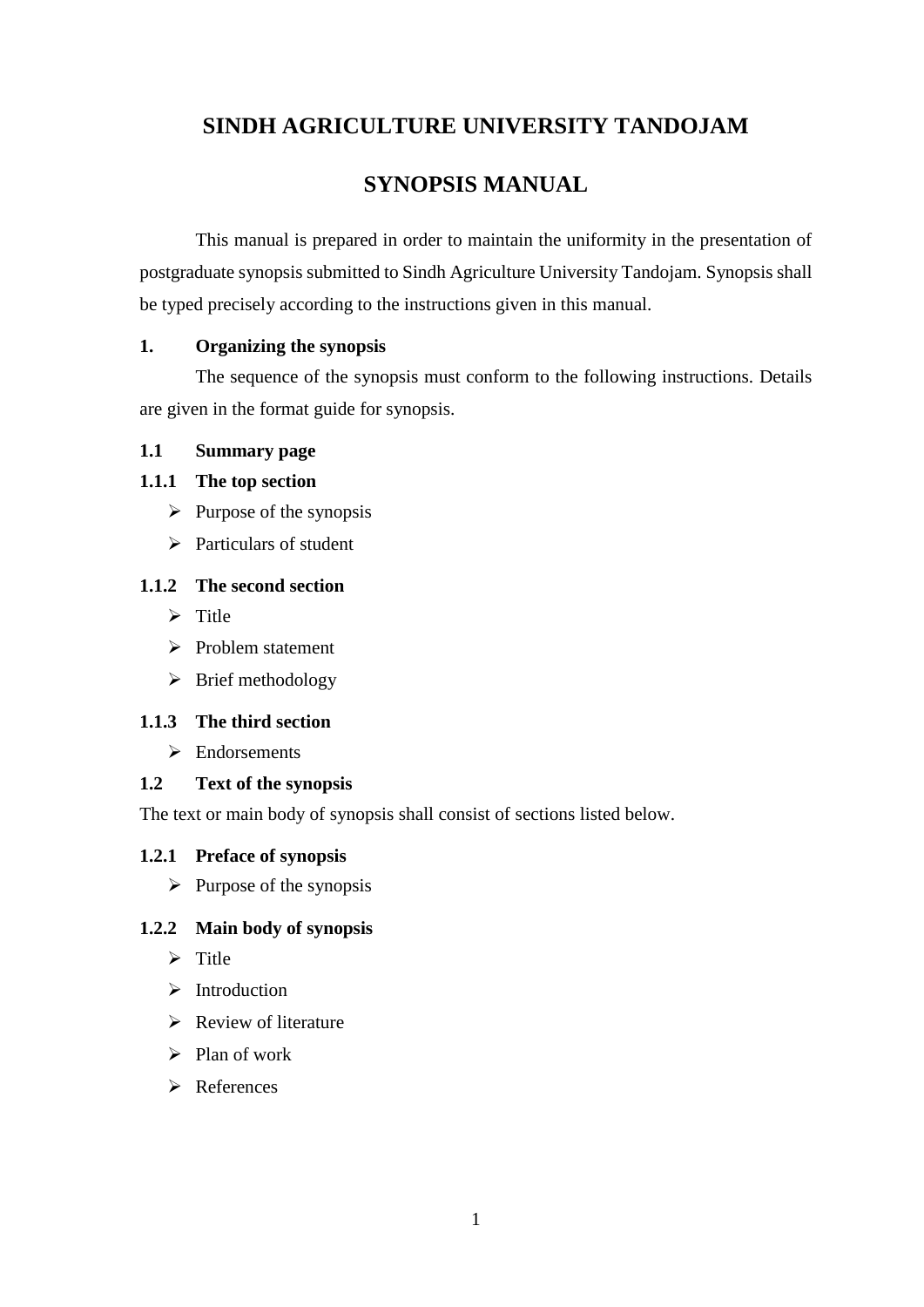# **SINDH AGRICULTURE UNIVERSITY TANDOJAM**

# **SYNOPSIS MANUAL**

This manual is prepared in order to maintain the uniformity in the presentation of postgraduate synopsis submitted to Sindh Agriculture University Tandojam. Synopsis shall be typed precisely according to the instructions given in this manual.

### **1. Organizing the synopsis**

The sequence of the synopsis must conform to the following instructions. Details are given in the format guide for synopsis.

### **1.1 Summary page**

# **1.1.1 The top section**

- $\triangleright$  Purpose of the synopsis
- $\triangleright$  Particulars of student

### **1.1.2 The second section**

- $\triangleright$  Title
- $\triangleright$  Problem statement
- $\triangleright$  Brief methodology

# **1.1.3 The third section**

> Endorsements

### **1.2 Text of the synopsis**

The text or main body of synopsis shall consist of sections listed below.

### **1.2.1 Preface of synopsis**

 $\triangleright$  Purpose of the synopsis

### **1.2.2 Main body of synopsis**

- $\triangleright$  Title
- $\triangleright$  Introduction
- $\triangleright$  Review of literature
- $\triangleright$  Plan of work
- **EXP** References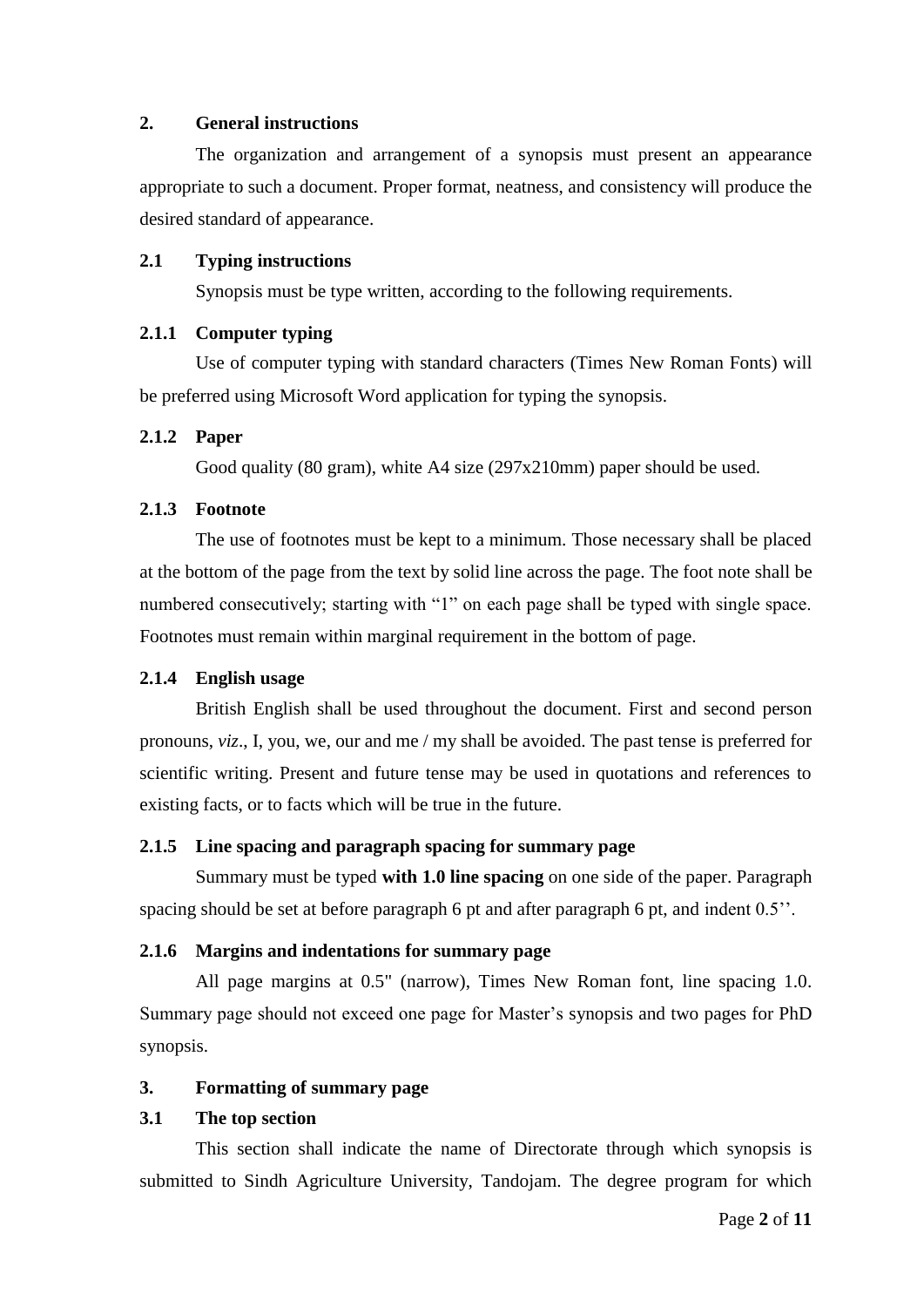### **2. General instructions**

The organization and arrangement of a synopsis must present an appearance appropriate to such a document. Proper format, neatness, and consistency will produce the desired standard of appearance.

### **2.1 Typing instructions**

Synopsis must be type written, according to the following requirements.

### **2.1.1 Computer typing**

Use of computer typing with standard characters (Times New Roman Fonts) will be preferred using Microsoft Word application for typing the synopsis.

### **2.1.2 Paper**

Good quality (80 gram), white A4 size (297x210mm) paper should be used.

### **2.1.3 Footnote**

The use of footnotes must be kept to a minimum. Those necessary shall be placed at the bottom of the page from the text by solid line across the page. The foot note shall be numbered consecutively; starting with "1" on each page shall be typed with single space. Footnotes must remain within marginal requirement in the bottom of page.

# **2.1.4 English usage**

British English shall be used throughout the document. First and second person pronouns, *viz*., I, you, we, our and me / my shall be avoided. The past tense is preferred for scientific writing. Present and future tense may be used in quotations and references to existing facts, or to facts which will be true in the future.

# **2.1.5 Line spacing and paragraph spacing for summary page**

Summary must be typed **with 1.0 line spacing** on one side of the paper. Paragraph spacing should be set at before paragraph 6 pt and after paragraph 6 pt, and indent 0.5''.

# **2.1.6 Margins and indentations for summary page**

All page margins at 0.5" (narrow), Times New Roman font, line spacing 1.0. Summary page should not exceed one page for Master's synopsis and two pages for PhD synopsis.

# **3. Formatting of summary page**

# **3.1 The top section**

This section shall indicate the name of Directorate through which synopsis is submitted to Sindh Agriculture University, Tandojam. The degree program for which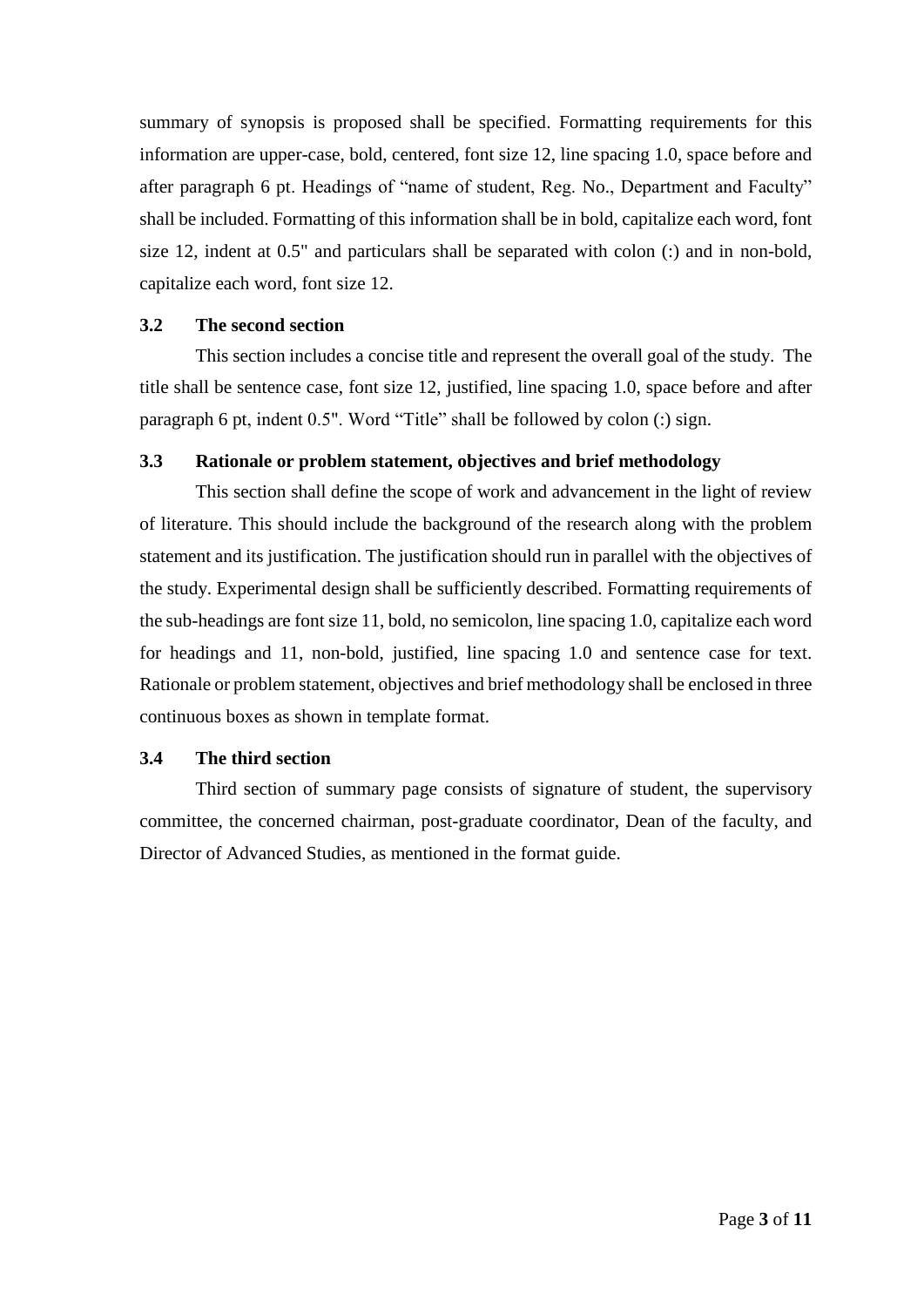summary of synopsis is proposed shall be specified. Formatting requirements for this information are upper-case, bold, centered, font size 12, line spacing 1.0, space before and after paragraph 6 pt. Headings of "name of student, Reg. No., Department and Faculty" shall be included. Formatting of this information shall be in bold, capitalize each word, font size 12, indent at 0.5" and particulars shall be separated with colon (:) and in non-bold, capitalize each word, font size 12.

### **3.2 The second section**

This section includes a concise title and represent the overall goal of the study. The title shall be sentence case, font size 12, justified, line spacing 1.0, space before and after paragraph 6 pt, indent 0.5". Word "Title" shall be followed by colon (:) sign.

### **3.3 Rationale or problem statement, objectives and brief methodology**

This section shall define the scope of work and advancement in the light of review of literature. This should include the background of the research along with the problem statement and its justification. The justification should run in parallel with the objectives of the study. Experimental design shall be sufficiently described. Formatting requirements of the sub-headings are font size 11, bold, no semicolon, line spacing 1.0, capitalize each word for headings and 11, non-bold, justified, line spacing 1.0 and sentence case for text. Rationale or problem statement, objectives and brief methodology shall be enclosed in three continuous boxes as shown in template format.

### **3.4 The third section**

Third section of summary page consists of signature of student, the supervisory committee, the concerned chairman, post-graduate coordinator, Dean of the faculty, and Director of Advanced Studies, as mentioned in the format guide.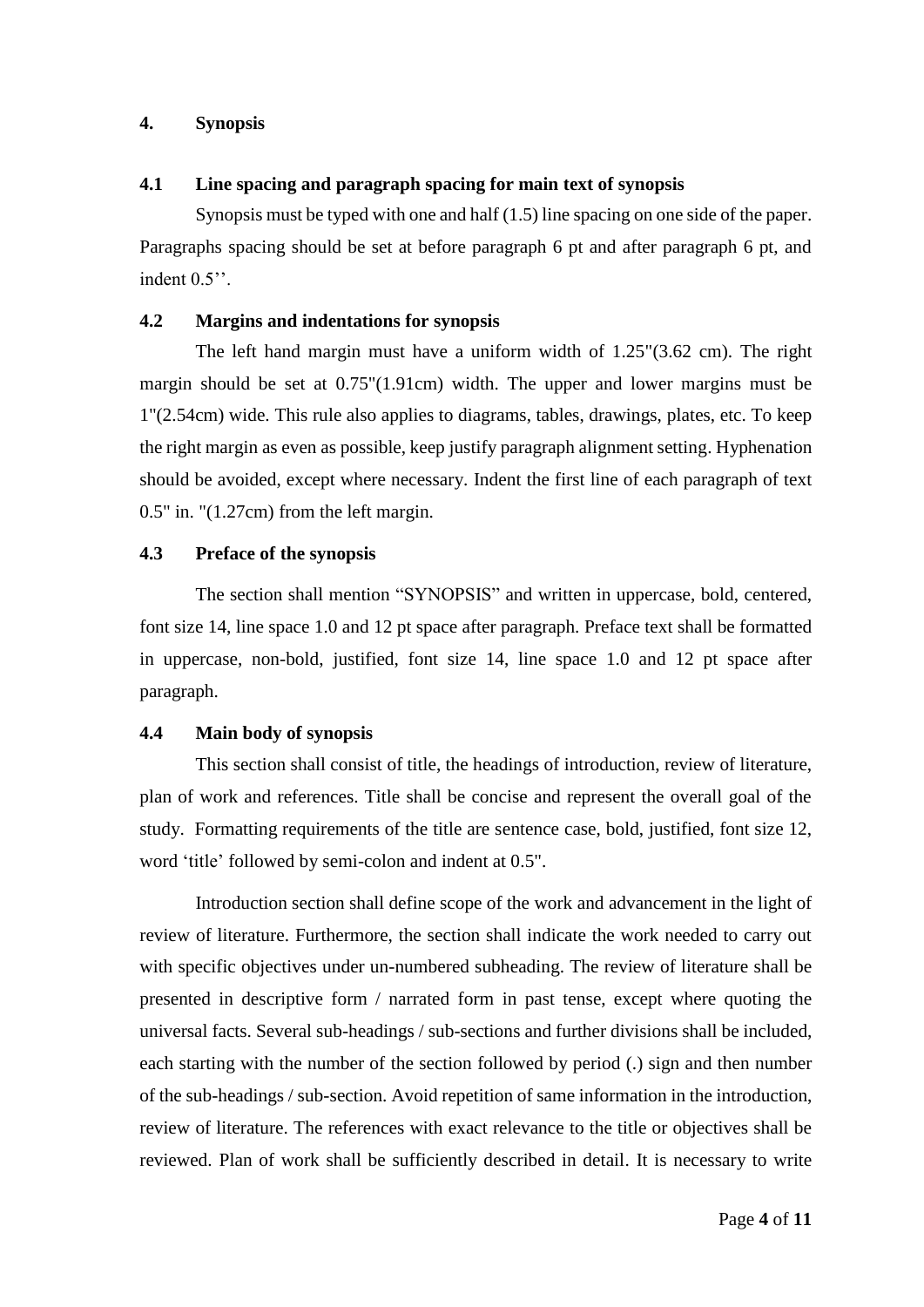### **4. Synopsis**

### **4.1 Line spacing and paragraph spacing for main text of synopsis**

Synopsis must be typed with one and half (1.5) line spacing on one side of the paper. Paragraphs spacing should be set at before paragraph 6 pt and after paragraph 6 pt, and indent  $0.5$ ".

### **4.2 Margins and indentations for synopsis**

The left hand margin must have a uniform width of 1.25"(3.62 cm). The right margin should be set at 0.75"(1.91cm) width. The upper and lower margins must be 1"(2.54cm) wide. This rule also applies to diagrams, tables, drawings, plates, etc. To keep the right margin as even as possible, keep justify paragraph alignment setting. Hyphenation should be avoided, except where necessary. Indent the first line of each paragraph of text 0.5" in. "(1.27cm) from the left margin.

### **4.3 Preface of the synopsis**

The section shall mention "SYNOPSIS" and written in uppercase, bold, centered, font size 14, line space 1.0 and 12 pt space after paragraph. Preface text shall be formatted in uppercase, non-bold, justified, font size 14, line space 1.0 and 12 pt space after paragraph.

#### **4.4 Main body of synopsis**

This section shall consist of title, the headings of introduction, review of literature, plan of work and references. Title shall be concise and represent the overall goal of the study. Formatting requirements of the title are sentence case, bold, justified, font size 12, word 'title' followed by semi-colon and indent at 0.5".

Introduction section shall define scope of the work and advancement in the light of review of literature. Furthermore, the section shall indicate the work needed to carry out with specific objectives under un-numbered subheading. The review of literature shall be presented in descriptive form / narrated form in past tense, except where quoting the universal facts. Several sub-headings / sub-sections and further divisions shall be included, each starting with the number of the section followed by period (.) sign and then number of the sub-headings / sub-section. Avoid repetition of same information in the introduction, review of literature. The references with exact relevance to the title or objectives shall be reviewed. Plan of work shall be sufficiently described in detail. It is necessary to write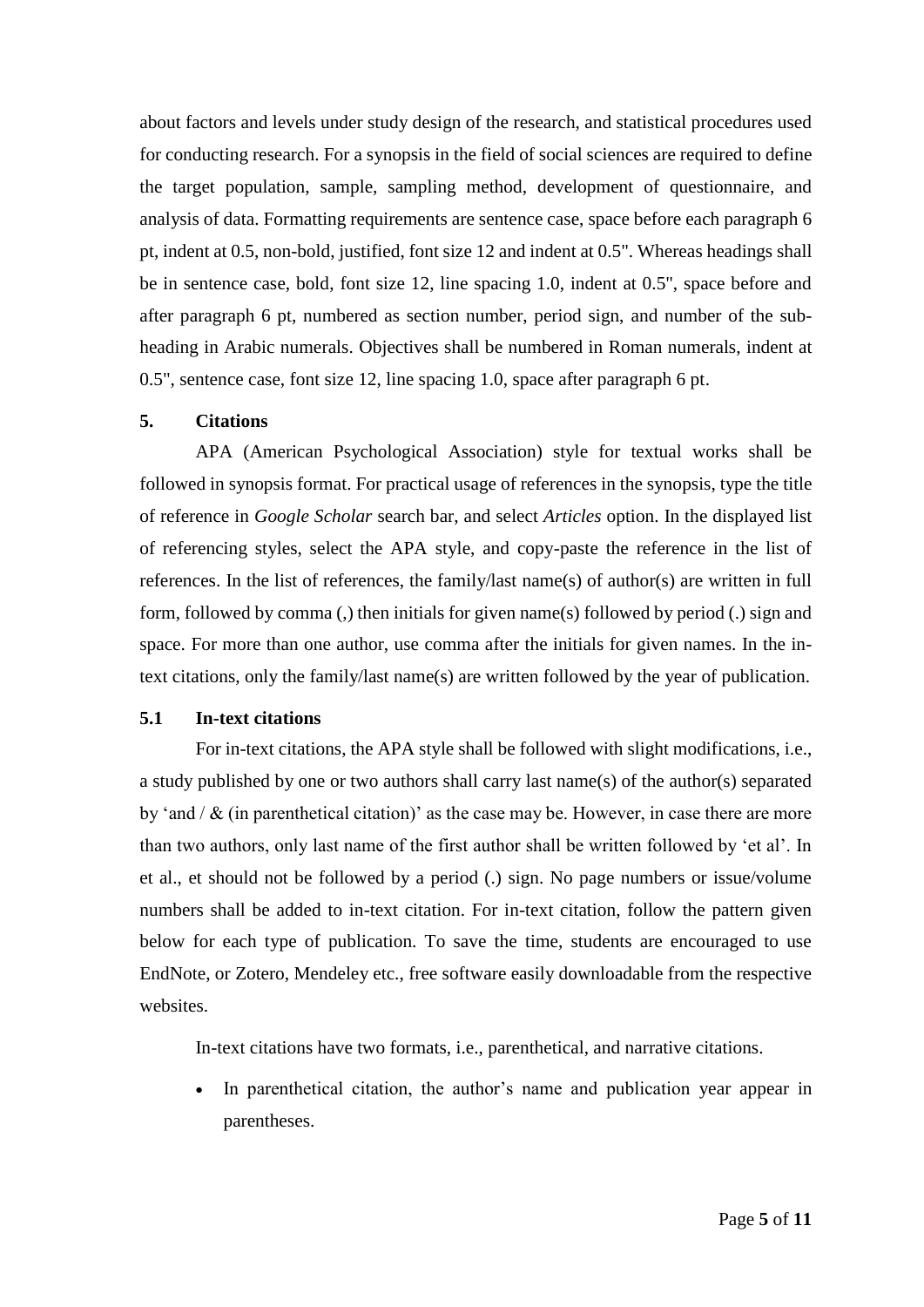about factors and levels under study design of the research, and statistical procedures used for conducting research. For a synopsis in the field of social sciences are required to define the target population, sample, sampling method, development of questionnaire, and analysis of data. Formatting requirements are sentence case, space before each paragraph 6 pt, indent at 0.5, non-bold, justified, font size 12 and indent at 0.5". Whereas headings shall be in sentence case, bold, font size 12, line spacing 1.0, indent at 0.5", space before and after paragraph 6 pt, numbered as section number, period sign, and number of the subheading in Arabic numerals. Objectives shall be numbered in Roman numerals, indent at 0.5", sentence case, font size 12, line spacing 1.0, space after paragraph 6 pt.

#### **5. Citations**

APA (American Psychological Association) style for textual works shall be followed in synopsis format. For practical usage of references in the synopsis, type the title of reference in *Google Scholar* search bar, and select *Articles* option. In the displayed list of referencing styles, select the APA style, and copy-paste the reference in the list of references. In the list of references, the family/last name(s) of author(s) are written in full form, followed by comma (,) then initials for given name(s) followed by period (.) sign and space. For more than one author, use comma after the initials for given names. In the intext citations, only the family/last name(s) are written followed by the year of publication.

### **5.1 In-text citations**

For in-text citations, the APA style shall be followed with slight modifications, i.e., a study published by one or two authors shall carry last name(s) of the author(s) separated by 'and  $/ \&$  (in parenthetical citation)' as the case may be. However, in case there are more than two authors, only last name of the first author shall be written followed by 'et al'. In et al., et should not be followed by a period (.) sign. No page numbers or issue/volume numbers shall be added to in-text citation. For in-text citation, follow the pattern given below for each type of publication. To save the time, students are encouraged to use EndNote, or Zotero, Mendeley etc., free software easily downloadable from the respective websites.

In-text citations have two formats, i.e., parenthetical, and narrative citations.

 In parenthetical citation, the author's name and publication year appear in parentheses.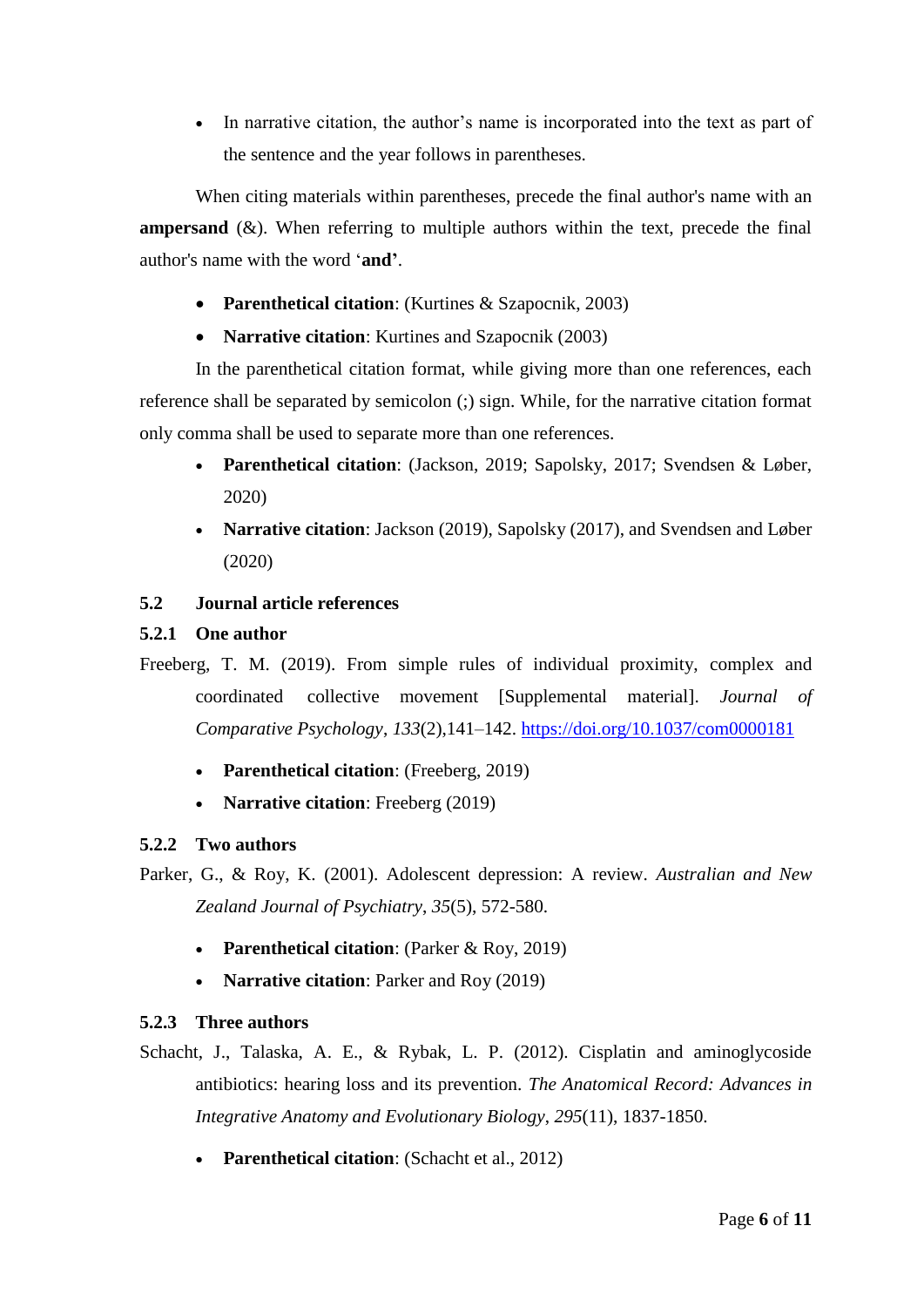• In narrative citation, the author's name is incorporated into the text as part of the sentence and the year follows in parentheses.

When citing materials within parentheses, precede the final author's name with an **ampersand**  $(\&)$ . When referring to multiple authors within the text, precede the final author's name with the word '**and'**.

- **Parenthetical citation**: (Kurtines & Szapocnik, 2003)
- **Narrative citation**: Kurtines and Szapocnik (2003)

In the parenthetical citation format, while giving more than one references, each reference shall be separated by semicolon (;) sign. While, for the narrative citation format only comma shall be used to separate more than one references.

- **Parenthetical citation**: (Jackson, 2019; Sapolsky, 2017; Svendsen & Løber, 2020)
- **Narrative citation**: Jackson (2019), Sapolsky (2017), and Svendsen and Løber (2020)

# **5.2 Journal article references**

### **5.2.1 One author**

- Freeberg, T. M. (2019). From simple rules of individual proximity, complex and coordinated collective movement [Supplemental material]. *Journal of Comparative Psychology*, *133*(2),141–142.<https://doi.org/10.1037/com0000181>
	- **Parenthetical citation**: (Freeberg, 2019)
	- **Narrative citation**: Freeberg (2019)

# **5.2.2 Two authors**

- Parker, G., & Roy, K. (2001). Adolescent depression: A review. *Australian and New Zealand Journal of Psychiatry*, *35*(5), 572-580.
	- **Parenthetical citation**: (Parker & Roy, 2019)
	- **Narrative citation**: Parker and Roy (2019)

# **5.2.3 Three authors**

- Schacht, J., Talaska, A. E., & Rybak, L. P. (2012). Cisplatin and aminoglycoside antibiotics: hearing loss and its prevention. *The Anatomical Record: Advances in Integrative Anatomy and Evolutionary Biology*, *295*(11), 1837-1850.
	- **Parenthetical citation**: (Schacht et al., 2012)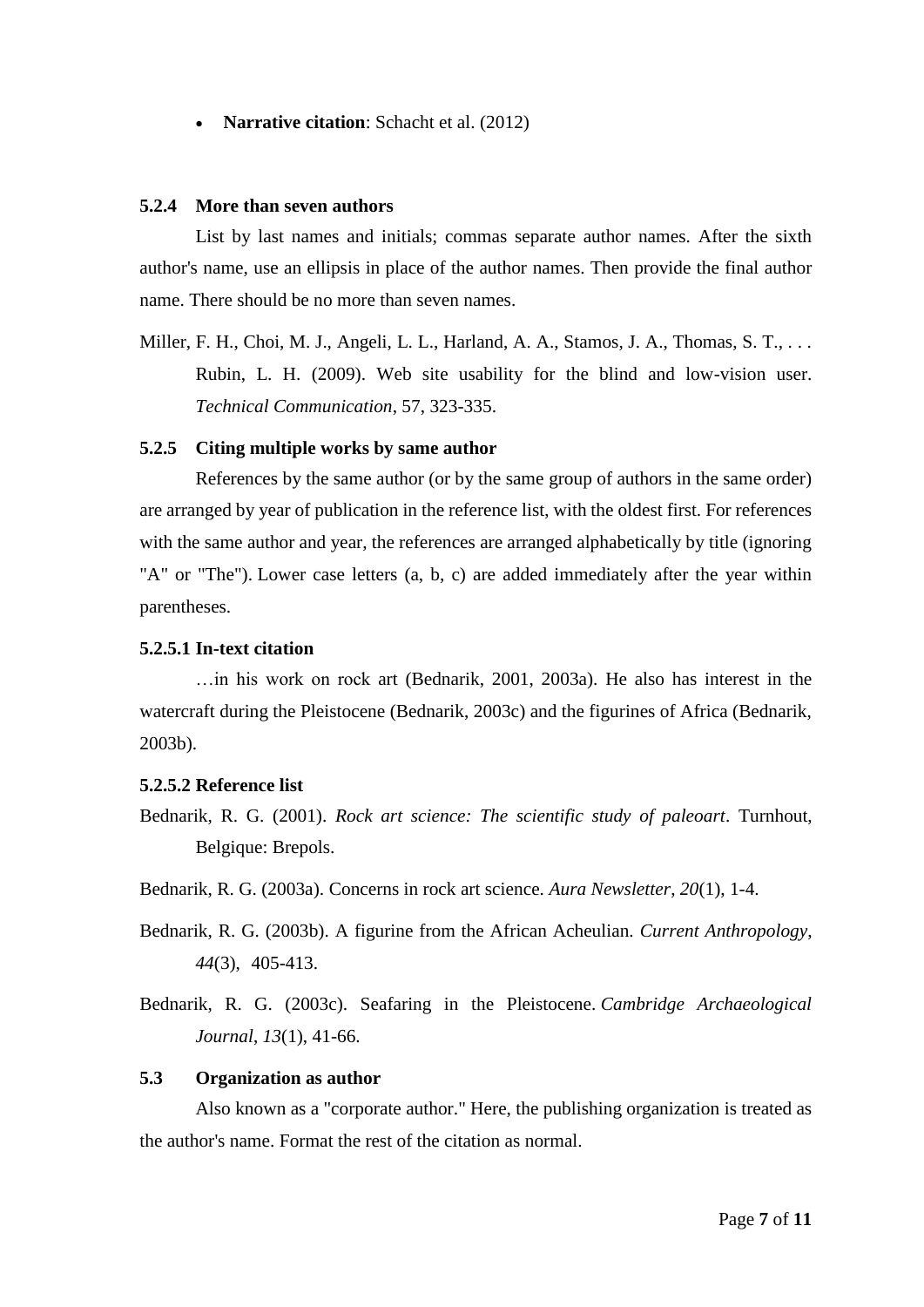• **Narrative citation**: Schacht et al. (2012)

#### **5.2.4 More than seven authors**

List by last names and initials; commas separate author names. After the sixth author's name, use an ellipsis in place of the author names. Then provide the final author name. There should be no more than seven names.

Miller, F. H., Choi, M. J., Angeli, L. L., Harland, A. A., Stamos, J. A., Thomas, S. T., . . . Rubin, L. H. (2009). Web site usability for the blind and low-vision user. *Technical Communication*, 57, 323-335.

### **5.2.5 Citing multiple works by same author**

References by the same author (or by the same group of authors in the same order) are arranged by year of publication in the reference list, with the oldest first. For references with the same author and year, the references are arranged alphabetically by title (ignoring "A" or "The"). Lower case letters (a, b, c) are added immediately after the year within parentheses.

#### **5.2.5.1 In-text citation**

…in his work on rock art (Bednarik, 2001, 2003a). He also has interest in the watercraft during the Pleistocene (Bednarik, 2003c) and the figurines of Africa (Bednarik, 2003b).

#### **5.2.5.2 Reference list**

Bednarik, R. G. (2001). *Rock art science: The scientific study of paleoart*. Turnhout, Belgique: Brepols.

Bednarik, R. G. (2003a). Concerns in rock art science. *Aura Newsletter*, *20*(1), 1-4.

Bednarik, R. G. (2003b). A figurine from the African Acheulian. *Current Anthropology*, *44*(3), 405-413.

Bednarik, R. G. (2003c). Seafaring in the Pleistocene. *Cambridge Archaeological Journal*, *13*(1), 41-66.

### **5.3 Organization as author**

Also known as a "corporate author." Here, the publishing organization is treated as the author's name. Format the rest of the citation as normal.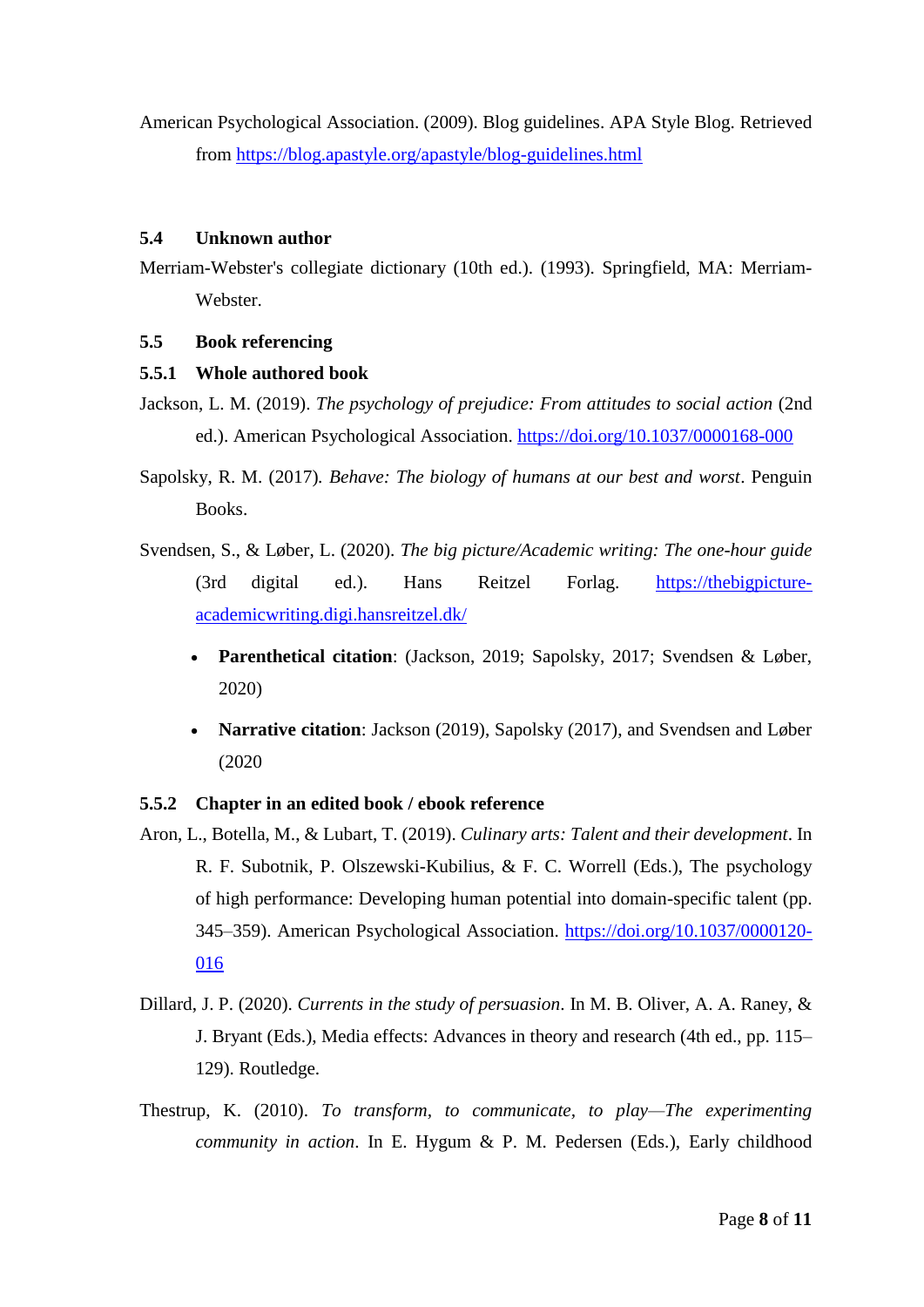American Psychological Association. (2009). Blog guidelines. APA Style Blog. Retrieved from<https://blog.apastyle.org/apastyle/blog-guidelines.html>

### **5.4 Unknown author**

Merriam-Webster's collegiate dictionary (10th ed.). (1993). Springfield, MA: Merriam-Webster.

### **5.5 Book referencing**

### **5.5.1 Whole authored book**

Jackson, L. M. (2019). *The psychology of prejudice: From attitudes to social action* (2nd ed.). American Psychological Association.<https://doi.org/10.1037/0000168-000>

Sapolsky, R. M. (2017)*. Behave: The biology of humans at our best and worst*. Penguin Books.

- Svendsen, S., & Løber, L. (2020). *The big picture/Academic writing: The one-hour guide* (3rd digital ed.). Hans Reitzel Forlag. https://thebigpictureacademicwriting.digi.hansreitzel.dk/
	- **Parenthetical citation**: (Jackson, 2019; Sapolsky, 2017; Svendsen & Løber, 2020)
	- **Narrative citation**: Jackson (2019), Sapolsky (2017), and Svendsen and Løber (2020

# **5.5.2 Chapter in an edited book / ebook reference**

- Aron, L., Botella, M., & Lubart, T. (2019). *Culinary arts: Talent and their development*. In R. F. Subotnik, P. Olszewski-Kubilius, & F. C. Worrell (Eds.), The psychology of high performance: Developing human potential into domain-specific talent (pp. 345–359). American Psychological Association. [https://doi.org/10.1037/0000120-](https://doi.org/10.1037/0000120-%09016) [016](https://doi.org/10.1037/0000120-%09016)
- Dillard, J. P. (2020). *Currents in the study of persuasion*. In M. B. Oliver, A. A. Raney, & J. Bryant (Eds.), Media effects: Advances in theory and research (4th ed., pp. 115– 129). Routledge.
- Thestrup, K. (2010). *To transform, to communicate, to play—The experimenting community in action*. In E. Hygum & P. M. Pedersen (Eds.), Early childhood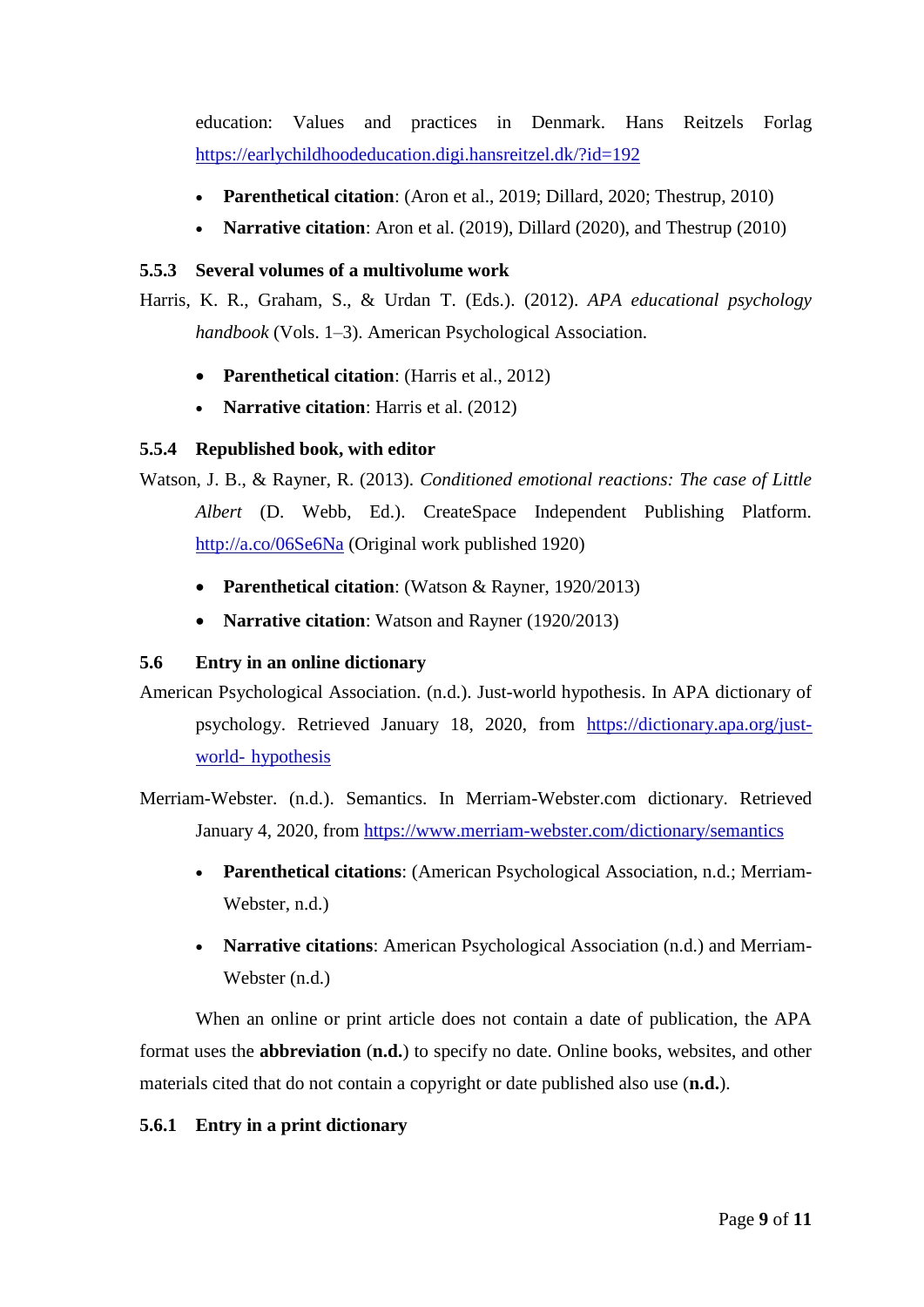education: Values and practices in Denmark. Hans Reitzels Forlag <https://earlychildhoodeducation.digi.hansreitzel.dk/?id=192>

- **Parenthetical citation**: (Aron et al., 2019; Dillard, 2020; Thestrup, 2010)
- **Narrative citation**: Aron et al. (2019), Dillard (2020), and Thestrup (2010)

### **5.5.3 Several volumes of a multivolume work**

Harris, K. R., Graham, S., & Urdan T. (Eds.). (2012). *APA educational psychology handbook* (Vols. 1–3). American Psychological Association.

- **Parenthetical citation**: (Harris et al., 2012)
- **Narrative citation**: Harris et al. (2012)

# **5.5.4 Republished book, with editor**

Watson, J. B., & Rayner, R. (2013). *Conditioned emotional reactions: The case of Little Albert* (D. Webb, Ed.). CreateSpace Independent Publishing Platform. <http://a.co/06Se6Na> (Original work published 1920)

- **Parenthetical citation**: (Watson & Rayner, 1920/2013)
- **Narrative citation**: Watson and Rayner (1920/2013)

# **5.6 Entry in an online dictionary**

American Psychological Association. (n.d.). Just-world hypothesis. In APA dictionary of psychology. Retrieved January 18, 2020, from [https://dictionary.apa.org/just](https://dictionary.apa.org/just-%09world-%09hypothesis)world- [hypothesis](https://dictionary.apa.org/just-%09world-%09hypothesis)

Merriam-Webster. (n.d.). Semantics. In Merriam-Webster.com dictionary. Retrieved January 4, 2020, from<https://www.merriam-webster.com/dictionary/semantics>

- **Parenthetical citations**: (American Psychological Association, n.d.; Merriam-Webster, n.d.)
- **Narrative citations**: American Psychological Association (n.d.) and Merriam-Webster (n.d.)

When an online or print article does not contain a date of publication, the APA format uses the **abbreviation** (**n.d.**) to specify no date. Online books, websites, and other materials cited that do not contain a copyright or date published also use (**n.d.**).

# **5.6.1 Entry in a print dictionary**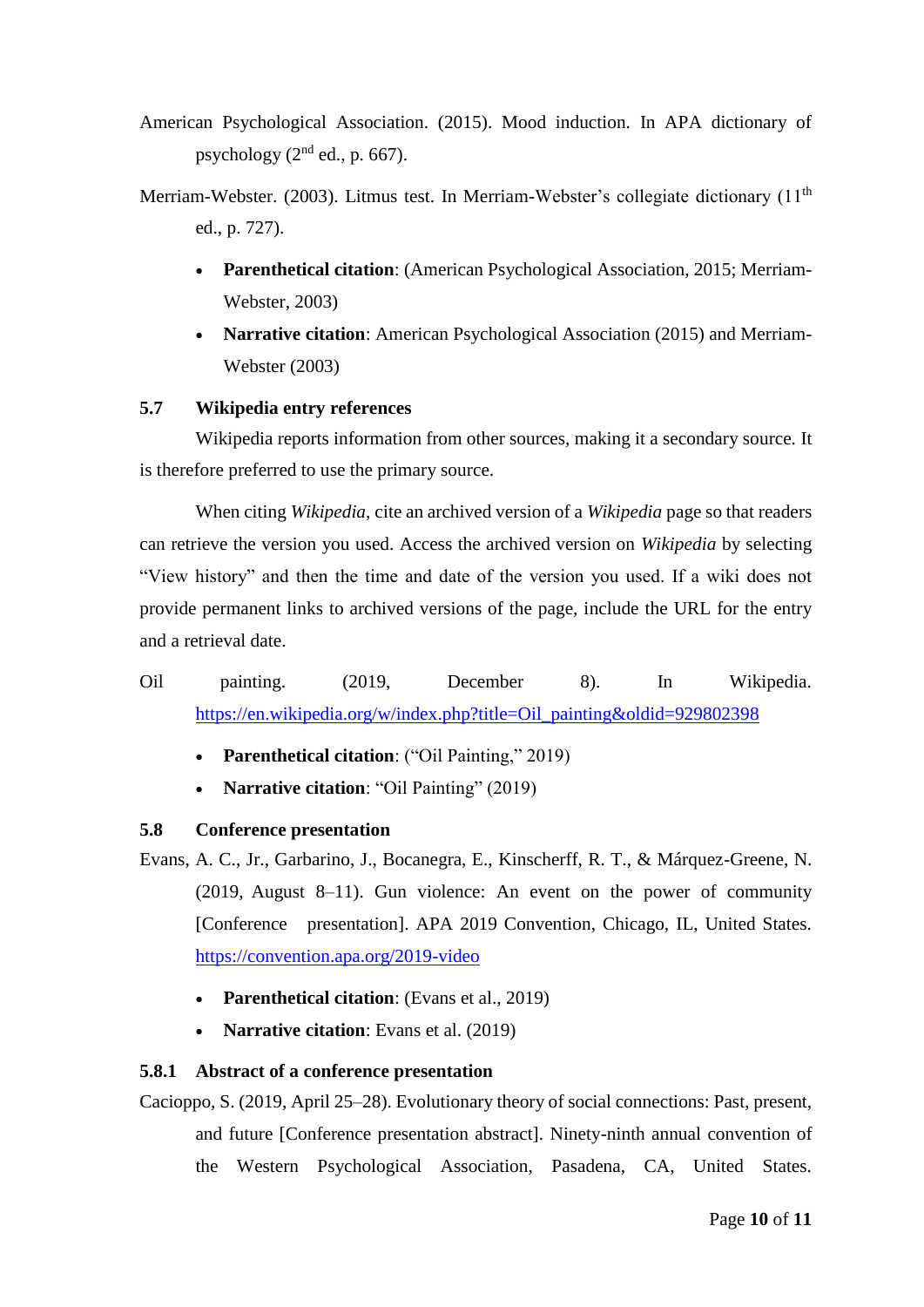- American Psychological Association. (2015). Mood induction. In APA dictionary of psychology  $(2<sup>nd</sup>$  ed., p. 667).
- Merriam-Webster. (2003). Litmus test. In Merriam-Webster's collegiate dictionary (11<sup>th</sup>) ed., p. 727).
	- **Parenthetical citation**: (American Psychological Association, 2015; Merriam-Webster, 2003)
	- **Narrative citation**: American Psychological Association (2015) and Merriam-Webster (2003)

### **5.7 Wikipedia entry references**

Wikipedia reports information from other sources, making it a secondary source. It is therefore preferred to use the primary source.

When citing *Wikipedia*, cite an archived version of a *Wikipedia* page so that readers can retrieve the version you used. Access the archived version on *Wikipedia* by selecting "View history" and then the time and date of the version you used. If a wiki does not provide permanent links to archived versions of the page, include the URL for the entry and a retrieval date.

- Oil painting. (2019, December 8). In Wikipedia. [https://en.wikipedia.org/w/index.php?title=Oil\\_painting&oldid=929802398](https://en.wikipedia.org/w/index.php?title=Oil_painting&oldid=929802398)
	- **Parenthetical citation**: ("Oil Painting," 2019)
	- **Narrative citation**: "Oil Painting" (2019)

# **5.8 Conference presentation**

Evans, A. C., Jr., Garbarino, J., Bocanegra, E., Kinscherff, R. T., & Márquez-Greene, N. (2019, August 8–11). Gun violence: An event on the power of community [Conference presentation]. APA 2019 Convention, Chicago, IL, United States. <https://convention.apa.org/2019-video>

- **Parenthetical citation**: (Evans et al., 2019)
- **Narrative citation**: Evans et al. (2019)

# **5.8.1 Abstract of a conference presentation**

Cacioppo, S. (2019, April 25–28). Evolutionary theory of social connections: Past, present, and future [Conference presentation abstract]. Ninety-ninth annual convention of the Western Psychological Association, Pasadena, CA, United States.